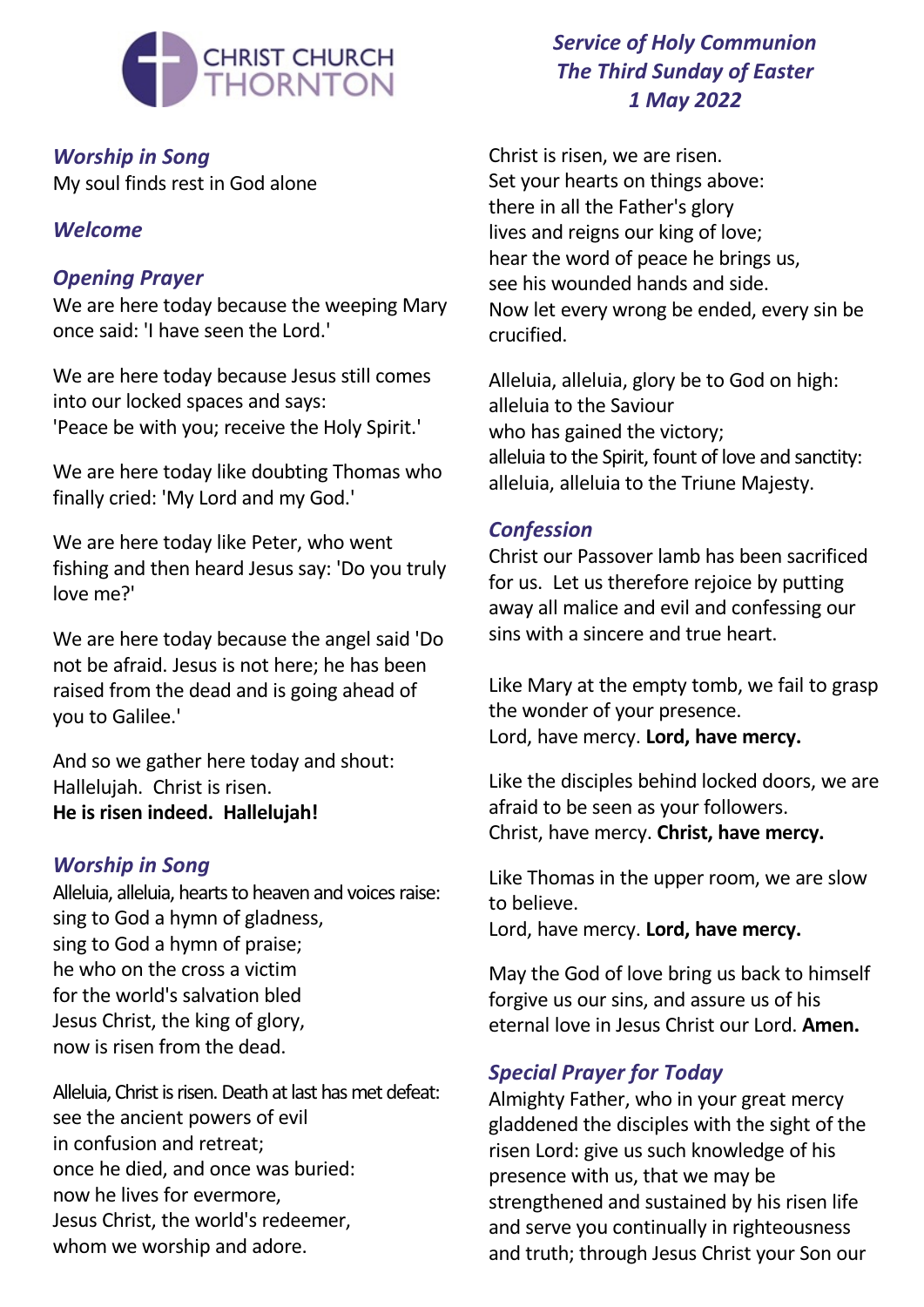

*Worship in Song* My soul finds rest in God alone

#### *Welcome*

## *Opening Prayer*

We are here today because the weeping Mary once said: 'I have seen the Lord.'

We are here today because Jesus still comes into our locked spaces and says: 'Peace be with you; receive the Holy Spirit.'

We are here today like doubting Thomas who finally cried: 'My Lord and my God.'

We are here today like Peter, who went fishing and then heard Jesus say: 'Do you truly love me?'

We are here today because the angel said 'Do not be afraid. Jesus is not here; he has been raised from the dead and is going ahead of you to Galilee.'

And so we gather here today and shout: Hallelujah. Christ is risen. **He is risen indeed. Hallelujah!**

#### *Worship in Song*

Alleluia, alleluia, hearts to heaven and voices raise: sing to God a hymn of gladness, sing to God a hymn of praise; he who on the cross a victim for the world's salvation bled Jesus Christ, the king of glory, now is risen from the dead.

Alleluia, Christ is risen. Death at last has met defeat: see the ancient powers of evil in confusion and retreat; once he died, and once was buried: now he lives for evermore, Jesus Christ, the world's redeemer, whom we worship and adore.

# *Service of Holy Communion The Third Sunday of Easter 1 May 2022*

Christ is risen, we are risen. Set your hearts on things above: there in all the Father's glory lives and reigns our king of love; hear the word of peace he brings us, see his wounded hands and side. Now let every wrong be ended, every sin be crucified.

Alleluia, alleluia, glory be to God on high: alleluia to the Saviour who has gained the victory; alleluia to the Spirit, fount of love and sanctity: alleluia, alleluia to the Triune Majesty.

#### *Confession*

Christ our Passover lamb has been sacrificed for us. Let us therefore rejoice by putting away all malice and evil and confessing our sins with a sincere and true heart.

Like Mary at the empty tomb, we fail to grasp the wonder of your presence. Lord, have mercy. **Lord, have mercy.**

Like the disciples behind locked doors, we are afraid to be seen as your followers. Christ, have mercy. **Christ, have mercy.**

Like Thomas in the upper room, we are slow to believe.

Lord, have mercy. **Lord, have mercy.**

May the God of love bring us back to himself forgive us our sins, and assure us of his eternal love in Jesus Christ our Lord. **Amen.**

## *Special Prayer for Today*

Almighty Father, who in your great mercy gladdened the disciples with the sight of the risen Lord: give us such knowledge of his presence with us, that we may be strengthened and sustained by his risen life and serve you continually in righteousness and truth; through Jesus Christ your Son our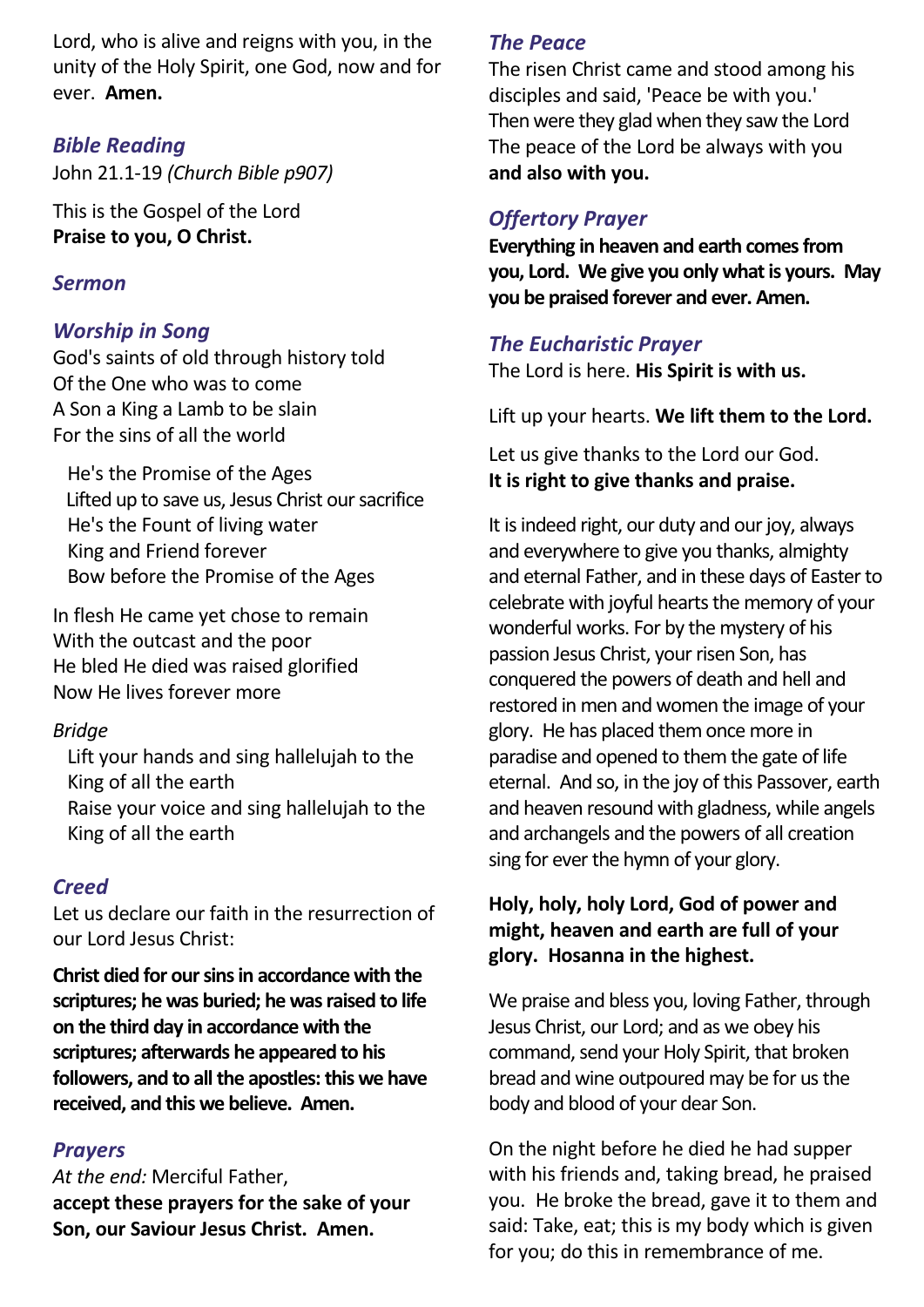Lord, who is alive and reigns with you, in the unity of the Holy Spirit, one God, now and for ever. **Amen.**

#### *Bible Reading*

John 21.1-19 *(Church Bible p907)*

This is the Gospel of the Lord **Praise to you, O Christ.**

#### *Sermon*

#### *Worship in Song*

God's saints of old through history told Of the One who was to come A Son a King a Lamb to be slain For the sins of all the world

 He's the Promise of the Ages Lifted up to save us, Jesus Christ our sacrifice He's the Fount of living water King and Friend forever Bow before the Promise of the Ages

In flesh He came yet chose to remain With the outcast and the poor He bled He died was raised glorified Now He lives forever more

## *Bridge*

 Lift your hands and sing hallelujah to the King of all the earth Raise your voice and sing hallelujah to the King of all the earth

## *Creed*

Let us declare our faith in the resurrection of our Lord Jesus Christ:

**Christ died for oursinsin accordance with the scriptures; he was buried; he wasraised to life on the third day in accordance with the scriptures; afterwards he appeared to his followers, and to all the apostles: this we have received, and this we believe. Amen.**

## *Prayers*

*At the end:* Merciful Father, **accept these prayers for the sake of your Son, our Saviour Jesus Christ. Amen.**

## *The Peace*

The risen Christ came and stood among his disciples and said, 'Peace be with you.' Then were they glad when they saw the Lord The peace of the Lord be always with you **and also with you.**

## *Offertory Prayer*

**Everything in heaven and earth comes from you, Lord. We give you only whatis yours. May you be praised forever and ever. Amen.**

## *The Eucharistic Prayer*

The Lord is here. **His Spirit is with us.**

Lift up your hearts. **We lift them to the Lord.**

Let us give thanks to the Lord our God. **It is right to give thanks and praise.**

It is indeed right, our duty and our joy, always and everywhere to give you thanks, almighty and eternal Father, and in these days of Easter to celebrate with joyful hearts the memory of your wonderful works. For by the mystery of his passion Jesus Christ, your risen Son, has conquered the powers of death and hell and restored in men and women the image of your glory. He has placed themonce more in paradise and opened to them the gate of life eternal. And so, in the joy of this Passover, earth and heaven resound with gladness, while angels and archangels and the powers of all creation sing for ever the hymn of your glory.

#### **Holy, holy, holy Lord, God of power and might, heaven and earth are full of your glory. Hosanna in the highest.**

We praise and bless you, loving Father, through Jesus Christ, our Lord; and as we obey his command, send your Holy Spirit, that broken bread and wine outpoured may be for us the body and blood of your dear Son.

On the night before he died he had supper with his friends and, taking bread, he praised you. He broke the bread, gave it to them and said: Take, eat; this is my body which is given for you; do this in remembrance of me.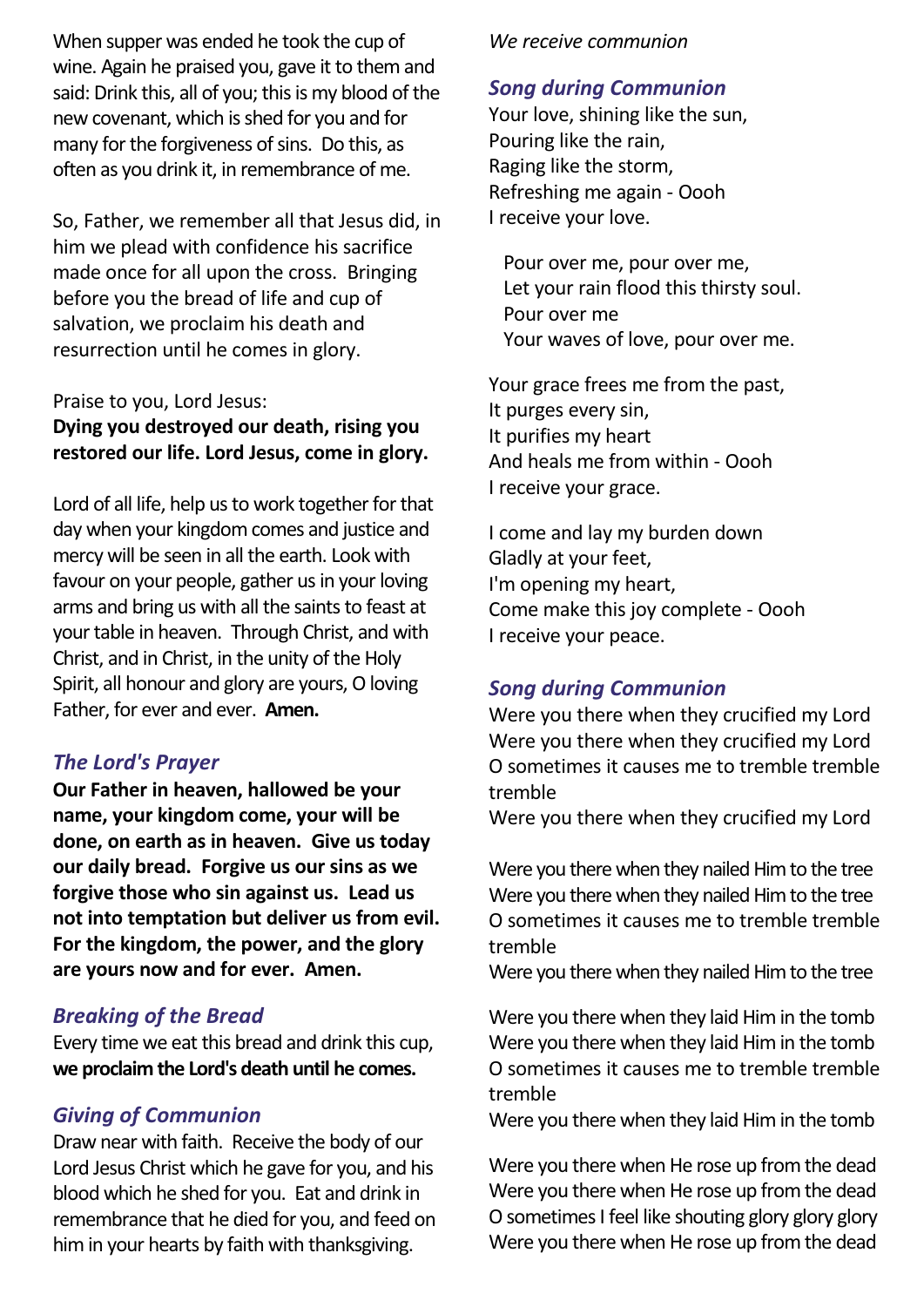When supper was ended he took the cup of wine. Again he praised you, gave it to them and said: Drink this, all of you; this is my blood of the new covenant, which is shed for you and for many for the forgiveness of sins. Do this, as often as you drink it, in remembrance of me.

So, Father, we remember all that Jesus did, in him we plead with confidence his sacrifice made once for all upon the cross. Bringing before you the bread of life and cup of salvation, we proclaim his death and resurrection until he comes in glory.

#### Praise to you, Lord Jesus:

#### **Dying you destroyed our death, rising you restored our life. Lord Jesus, come in glory.**

Lord of all life, help us to work together for that day when your kingdomcomes and justice and mercy will be seen in all the earth. Look with favour on your people, gather us in your loving arms and bring us with all the saints to feast at your table in heaven. Through Christ, and with Christ, and in Christ, in the unity of the Holy Spirit, all honour and glory are yours, O loving Father, for ever and ever. **Amen.**

#### *The Lord's Prayer*

**Our Father in heaven, hallowed be your name, your kingdom come, your will be done, on earth as in heaven. Give us today our daily bread. Forgive us our sins as we forgive those who sin against us. Lead us not into temptation but deliver us from evil. For the kingdom, the power, and the glory are yours now and for ever. Amen.**

#### *Breaking of the Bread*

Every time we eat this bread and drink this cup, **we proclaim the Lord's death until he comes.**

#### *Giving of Communion*

Draw near with faith. Receive the body of our Lord Jesus Christ which he gave for you, and his blood which he shed for you. Eat and drink in remembrance that he died for you, and feed on him in your hearts by faith with thanksgiving.

#### *We receive communion*

#### *Song during Communion*

Your love, shining like the sun, Pouring like the rain, Raging like the storm, Refreshing me again - Oooh I receive your love.

 Pour over me, pour over me, Let your rain flood this thirsty soul. Pour over me Your waves of love, pour over me.

Your grace frees me from the past, It purges every sin, It purifies my heart And heals me from within - Oooh I receive your grace.

I come and lay my burden down Gladly at your feet, I'm opening my heart, Come make this joy complete - Oooh I receive your peace.

#### *Song during Communion*

Were you there when they crucified my Lord Were you there when they crucified my Lord O sometimes it causes me to tremble tremble tremble

Were you there when they crucified my Lord

Were you there when they nailed Him to the tree Were you there when they nailed Him to the tree O sometimes it causes me to tremble tremble tremble

Were you there when they nailed Him to the tree

Were you there when they laid Him in the tomb Were you there when they laid Him in the tomb O sometimes it causes me to tremble tremble tremble

Were you there when they laid Him in the tomb

Were you there when He rose up from the dead Were you there when He rose up from the dead O sometimes I feel like shouting glory glory glory Were you there when He rose up from the dead